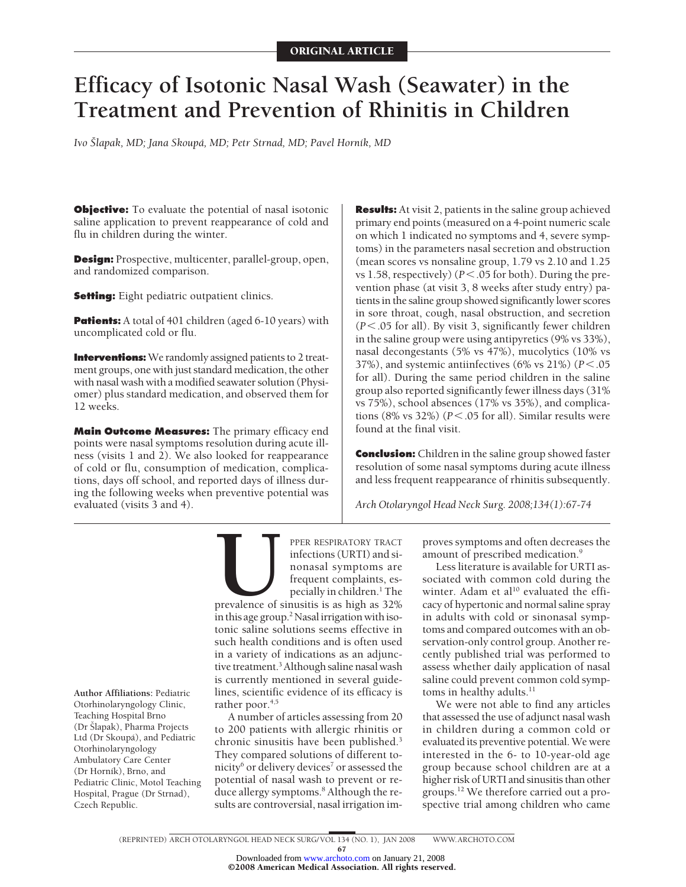# **Efficacy of Isotonic Nasal Wash (Seawater) in the Treatment and Prevention of Rhinitis in Children**

*Ivo Šlapak, MD; Jana Skoupá, MD; Petr Strnad, MD; Pavel Horník, MD*

**Objective:** To evaluate the potential of nasal isotonic saline application to prevent reappearance of cold and flu in children during the winter.

**Design:** Prospective, multicenter, parallel-group, open, and randomized comparison.

**Setting:** Eight pediatric outpatient clinics.

**Patients:** A total of 401 children (aged 6-10 years) with uncomplicated cold or flu.

**Interventions:** We randomly assigned patients to 2 treatment groups, one with just standard medication, the other with nasal wash with a modified seawater solution (Physiomer) plus standard medication, and observed them for 12 weeks.

**Main Outcome Measures:** The primary efficacy end points were nasal symptoms resolution during acute illness (visits 1 and 2). We also looked for reappearance of cold or flu, consumption of medication, complications, days off school, and reported days of illness during the following weeks when preventive potential was evaluated (visits 3 and 4).

**Results:** At visit 2, patients in the saline group achieved primary end points (measured on a 4-point numeric scale on which 1 indicated no symptoms and 4, severe symptoms) in the parameters nasal secretion and obstruction (mean scores vs nonsaline group, 1.79 vs 2.10 and 1.25 vs 1.58, respectively)  $(P < .05$  for both). During the prevention phase (at visit 3, 8 weeks after study entry) patients in the saline group showed significantly lower scores in sore throat, cough, nasal obstruction, and secretion (*P*.05 for all). By visit 3, significantly fewer children in the saline group were using antipyretics (9% vs 33%), nasal decongestants (5% vs 47%), mucolytics (10% vs 37%), and systemic antiinfectives ( $6\%$  vs  $21\%$ ) ( $P < .05$ ) for all). During the same period children in the saline group also reported significantly fewer illness days (31% vs 75%), school absences (17% vs 35%), and complications (8% vs 32%) ( $P < .05$  for all). Similar results were found at the final visit.

**Conclusion:** Children in the saline group showed faster resolution of some nasal symptoms during acute illness and less frequent reappearance of rhinitis subsequently.

*Arch Otolaryngol Head Neck Surg. 2008;134(1):67-74*

**Author Affiliations:** Pediatric Otorhinolaryngology Clinic, Teaching Hospital Brno (Dr Šlapak), Pharma Projects Ltd (Dr Skoupá), and Pediatric Otorhinolaryngology Ambulatory Care Center (Dr Horník), Brno, and Pediatric Clinic, Motol Teaching Hospital, Prague (Dr Strnad), Czech Republic.

**PPER RESPIRATORY TRACT**<br>
infections (URTI) and si-<br>
nonasal symptoms are<br>
frequent complaints, es-<br>
pecially in children.<sup>1</sup> The<br>
prevalence of sinusitis is as high as 32%<br>
in this age group.<sup>2</sup> Nasal irrigation with isoinfections (URTI) and sinonasal symptoms are frequent complaints, especially in children.<sup>1</sup> The

prevalence of sinusitis is as high as 32% in this age group.<sup>2</sup> Nasal irrigation with isotonic saline solutions seems effective in such health conditions and is often used in a variety of indications as an adjunctive treatment.<sup>3</sup> Although saline nasal wash is currently mentioned in several guidelines, scientific evidence of its efficacy is rather poor.<sup>4,5</sup>

A number of articles assessing from 20 to 200 patients with allergic rhinitis or chronic sinusitis have been published.3 They compared solutions of different tonicity<sup>6</sup> or delivery devices<sup>7</sup> or assessed the potential of nasal wash to prevent or reduce allergy symptoms.<sup>8</sup> Although the results are controversial, nasal irrigation im-

proves symptoms and often decreases the amount of prescribed medication.<sup>9</sup>

Less literature is available for URTI associated with common cold during the winter. Adam et al<sup>10</sup> evaluated the efficacy of hypertonic and normal saline spray in adults with cold or sinonasal symptoms and compared outcomes with an observation-only control group. Another recently published trial was performed to assess whether daily application of nasal saline could prevent common cold symptoms in healthy adults.<sup>11</sup>

We were not able to find any articles that assessed the use of adjunct nasal wash in children during a common cold or evaluated its preventive potential.We were interested in the 6- to 10-year-old age group because school children are at a higher risk of URTI and sinusitis than other groups.12 We therefore carried out a prospective trial among children who came

67

<sup>©2008</sup> American Medical Association. All rights reserved. Downloaded from [www.archoto.com](http://www.archoto.com) on January 21, 2008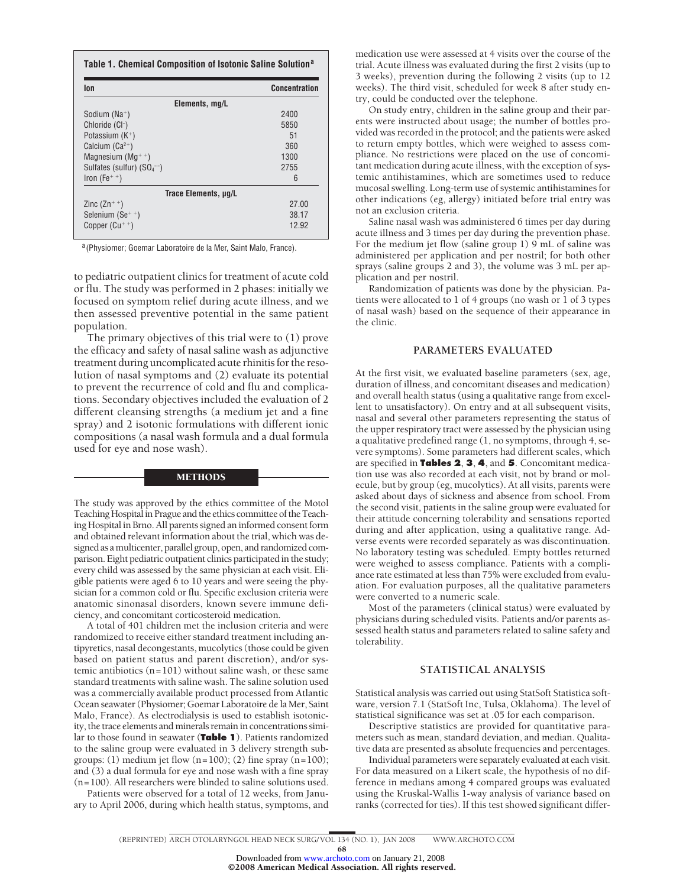| lon                             | <b>Concentration</b> |
|---------------------------------|----------------------|
| Elements, mg/L                  |                      |
| Sodium ( $Na^+$ )               | 2400                 |
| Chloride (CI-)                  | 5850                 |
| Potassium $(K^+)$               | 51                   |
| Calcium $(Ca^{2+})$             | 360                  |
| Magnesium ( $Mq^{++}$ )         | 1300                 |
| Sulfates (sulfur) $(SO_4^{-1})$ | 2755                 |
| Iron $(Fe^{+})$                 | 6                    |
| Trace Elements, µg/L            |                      |
| Zinc $(2n^{+})$                 | 27.00                |
| Selenium $(Se^{+})$             | 38.17                |
| Copper $(Cu^{+ +})$             | 12.92                |

<sup>a</sup> (Physiomer; Goemar Laboratoire de la Mer, Saint Malo, France).

to pediatric outpatient clinics for treatment of acute cold or flu. The study was performed in 2 phases: initially we focused on symptom relief during acute illness, and we then assessed preventive potential in the same patient population.

The primary objectives of this trial were to (1) prove the efficacy and safety of nasal saline wash as adjunctive treatment during uncomplicated acute rhinitis for the resolution of nasal symptoms and (2) evaluate its potential to prevent the recurrence of cold and flu and complications. Secondary objectives included the evaluation of 2 different cleansing strengths (a medium jet and a fine spray) and 2 isotonic formulations with different ionic compositions (a nasal wash formula and a dual formula used for eye and nose wash).

#### METHODS

The study was approved by the ethics committee of the Motol Teaching Hospital in Prague and the ethics committee of the Teaching Hospital in Brno. All parents signed an informed consent form and obtained relevant information about the trial, which was designed as amulticenter, parallel group, open, and randomized comparison. Eight pediatric outpatient clinics participated in the study; every child was assessed by the same physician at each visit. Eligible patients were aged 6 to 10 years and were seeing the physician for a common cold or flu. Specific exclusion criteria were anatomic sinonasal disorders, known severe immune deficiency, and concomitant corticosteroid medication.

A total of 401 children met the inclusion criteria and were randomized to receive either standard treatment including antipyretics, nasal decongestants, mucolytics (those could be given based on patient status and parent discretion), and/or systemic antibiotics (n=101) without saline wash, or these same standard treatments with saline wash. The saline solution used was a commercially available product processed from Atlantic Ocean seawater (Physiomer; Goemar Laboratoire de la Mer, Saint Malo, France). As electrodialysis is used to establish isotonicity, the trace elements and minerals remain in concentrations similar to those found in seawater (**Table 1**). Patients randomized to the saline group were evaluated in 3 delivery strength subgroups: (1) medium jet flow  $(n=100)$ ; (2) fine spray  $(n=100)$ ; and (3) a dual formula for eye and nose wash with a fine spray (n=100). All researchers were blinded to saline solutions used.

Patients were observed for a total of 12 weeks, from January to April 2006, during which health status, symptoms, and

medication use were assessed at 4 visits over the course of the trial. Acute illness was evaluated during the first 2 visits (up to 3 weeks), prevention during the following 2 visits (up to 12 weeks). The third visit, scheduled for week 8 after study entry, could be conducted over the telephone.

On study entry, children in the saline group and their parents were instructed about usage; the number of bottles provided was recorded in the protocol; and the patients were asked to return empty bottles, which were weighed to assess compliance. No restrictions were placed on the use of concomitant medication during acute illness, with the exception of systemic antihistamines, which are sometimes used to reduce mucosal swelling. Long-term use of systemic antihistamines for other indications (eg, allergy) initiated before trial entry was not an exclusion criteria.

Saline nasal wash was administered 6 times per day during acute illness and 3 times per day during the prevention phase. For the medium jet flow (saline group 1) 9 mL of saline was administered per application and per nostril; for both other sprays (saline groups 2 and 3), the volume was 3 mL per application and per nostril.

Randomization of patients was done by the physician. Patients were allocated to 1 of 4 groups (no wash or 1 of 3 types of nasal wash) based on the sequence of their appearance in the clinic.

## **PARAMETERS EVALUATED**

At the first visit, we evaluated baseline parameters (sex, age, duration of illness, and concomitant diseases and medication) and overall health status (using a qualitative range from excellent to unsatisfactory). On entry and at all subsequent visits, nasal and several other parameters representing the status of the upper respiratory tract were assessed by the physician using a qualitative predefined range (1, no symptoms, through 4, severe symptoms). Some parameters had different scales, which are specified in **Tables 2**, **3**, **4**, and **5**. Concomitant medication use was also recorded at each visit, not by brand or molecule, but by group (eg, mucolytics). At all visits, parents were asked about days of sickness and absence from school. From the second visit, patients in the saline group were evaluated for their attitude concerning tolerability and sensations reported during and after application, using a qualitative range. Adverse events were recorded separately as was discontinuation. No laboratory testing was scheduled. Empty bottles returned were weighed to assess compliance. Patients with a compliance rate estimated at less than 75% were excluded from evaluation. For evaluation purposes, all the qualitative parameters were converted to a numeric scale.

Most of the parameters (clinical status) were evaluated by physicians during scheduled visits. Patients and/or parents assessed health status and parameters related to saline safety and tolerability.

#### **STATISTICAL ANALYSIS**

Statistical analysis was carried out using StatSoft Statistica software, version 7.1 (StatSoft Inc, Tulsa, Oklahoma). The level of statistical significance was set at .05 for each comparison.

Descriptive statistics are provided for quantitative parameters such as mean, standard deviation, and median. Qualitative data are presented as absolute frequencies and percentages.

Individual parameters were separately evaluated at each visit. For data measured on a Likert scale, the hypothesis of no difference in medians among 4 compared groups was evaluated using the Kruskal-Wallis 1-way analysis of variance based on ranks (corrected for ties). If this test showed significant differ-

68

©2008 American Medical Association. All rights reserved. Downloaded from [www.archoto.com](http://www.archoto.com) on January 21, 2008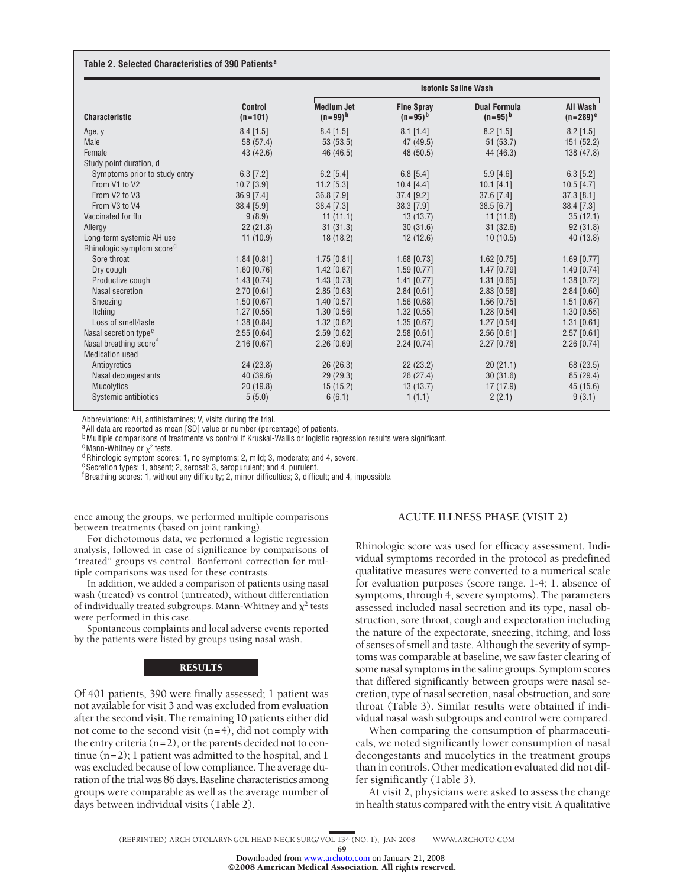#### **Table 2. Selected Characteristics of 390 Patients<sup>a</sup>**

|                                       |                             | <b>Isotonic Saline Wash</b>       |                                   |                                     |                           |  |  |
|---------------------------------------|-----------------------------|-----------------------------------|-----------------------------------|-------------------------------------|---------------------------|--|--|
| <b>Characteristic</b>                 | <b>Control</b><br>$(n=101)$ | <b>Medium Jet</b><br>$(n=99)^{b}$ | <b>Fine Spray</b><br>$(n=95)^{b}$ | <b>Dual Formula</b><br>$(n=95)^{b}$ | All Wash<br>$(n=289)^{c}$ |  |  |
| Age, y                                | $8.4$ [1.5]                 | $8.4$ [1.5]                       | $8.1$ [1.4]                       | $8.2$ [1.5]                         | $8.2$ [1.5]               |  |  |
| Male                                  | 58 (57.4)                   | 53(53.5)                          | 47 (49.5)                         | 51 (53.7)                           | 151 (52.2)                |  |  |
| Female                                | 43 (42.6)                   | 46 (46.5)                         | 48 (50.5)                         | 44 (46.3)                           | 138 (47.8)                |  |  |
| Study point duration, d               |                             |                                   |                                   |                                     |                           |  |  |
| Symptoms prior to study entry         | $6.3$ [7.2]                 | $6.2$ [5.4]                       | $6.8$ [5.4]                       | $5.9$ [4.6]                         | $6.3$ [5.2]               |  |  |
| From V1 to V2                         | $10.7$ [3.9]                | 11.2 [5.3]                        | $10.4$ [4.4]                      | 10.1 [4.1]                          | $10.5$ [4.7]              |  |  |
| From V2 to V3                         | 36.9 [7.4]                  | 36.8 [7.9]                        | $37.4$ [9.2]                      | $37.6$ [7.4]                        | $37.3$ [8.1]              |  |  |
| From V3 to V4                         | 38.4 [5.9]                  | 38.4 [7.3]                        | 38.3 [7.9]                        | 38.5 [6.7]                          | 38.4 [7.3]                |  |  |
| Vaccinated for flu                    | 9(8.9)                      | 11(11.1)                          | 13(13.7)                          | 11(11.6)                            | 35(12.1)                  |  |  |
| Allergy                               | 22(21.8)                    | 31(31.3)                          | 30(31.6)                          | 31(32.6)                            | 92(31.8)                  |  |  |
| Long-term systemic AH use             | 11(10.9)                    | 18 (18.2)                         | 12(12.6)                          | 10(10.5)                            | 40 (13.8)                 |  |  |
| Rhinologic symptom score <sup>d</sup> |                             |                                   |                                   |                                     |                           |  |  |
| Sore throat                           | $1.84$ [0.81]               | $1.75$ [0.81]                     | $1.68$ [0.73]                     | $1.62$ [0.75]                       | $1.69$ [0.77]             |  |  |
| Dry cough                             | $1.60$ [0.76]               | $1.42$ [0.67]                     | $1.59$ [0.77]                     | 1.47 [0.79]                         | 1.49 [0.74]               |  |  |
| Productive cough                      | $1.43$ [0.74]               | 1.43 [0.73]                       | $1.41$ [0.77]                     | $1.31$ [0.65]                       | 1.38 [0.72]               |  |  |
| Nasal secretion                       | $2.70$ [0.61]               | $2.85$ [0.63]                     | $2.84$ [0.61]                     | $2.83$ [0.58]                       | $2.84$ [0.60]             |  |  |
| Sneezing                              | $1.50$ [0.67]               | 1.40 [0.57]                       | $1.56$ [0.68]                     | $1.56$ [0.75]                       | $1.51$ [0.67]             |  |  |
| Itching                               | $1.27$ [0.55]               | $1.30$ [0.56]                     | $1.32$ [0.55]                     | $1.28$ [0.54]                       | $1.30$ [0.55]             |  |  |
| Loss of smell/taste                   | 1.38 [0.84]                 | 1.32 [0.62]                       | 1.35 [0.67]                       | $1.27$ [0.54]                       | $1.31$ [0.61]             |  |  |
| Nasal secretion type <sup>e</sup>     | $2.55$ [0.64]               | $2.59$ [0.62]                     | $2.58$ [0.61]                     | $2.56$ [0.61]                       | $2.57$ [0.61]             |  |  |
| Nasal breathing score <sup>f</sup>    | $2.16$ [0.67]               | $2.26$ [0.69]                     | $2.24$ [0.74]                     | $2.27$ [0.78]                       | $2.26$ [0.74]             |  |  |
| <b>Medication used</b>                |                             |                                   |                                   |                                     |                           |  |  |
| Antipyretics                          | 24(23.8)                    | 26(26.3)                          | 22(23.2)                          | 20(21.1)                            | 68 (23.5)                 |  |  |
| Nasal decongestants                   | 40 (39.6)                   | 29(29.3)                          | 26(27.4)                          | 30(31.6)                            | 85(29.4)                  |  |  |
| Mucolytics                            | 20(19.8)                    | 15(15.2)                          | 13(13.7)                          | 17 (17.9)                           | 45 (15.6)                 |  |  |
| Systemic antibiotics                  | 5(5.0)                      | 6(6.1)                            | 1(1.1)                            | 2(2.1)                              | 9(3.1)                    |  |  |

Abbreviations: AH, antihistamines; V, visits during the trial.

a All data are reported as mean [SD] value or number (percentage) of patients.

**b** Multiple comparisons of treatments vs control if Kruskal-Wallis or logistic regression results were significant.

 $c$  Mann-Whitney or  $\chi^2$  tests.

 $d$ Rhinologic symptom scores: 1, no symptoms; 2, mild; 3, moderate; and 4, severe.

eSecretion types: 1, absent; 2, serosal; 3, seropurulent; and 4, purulent.

<sup>f</sup> Breathing scores: 1, without any difficulty; 2, minor difficulties; 3, difficult; and 4, impossible.

ence among the groups, we performed multiple comparisons between treatments (based on joint ranking).

For dichotomous data, we performed a logistic regression analysis, followed in case of significance by comparisons of "treated" groups vs control. Bonferroni correction for multiple comparisons was used for these contrasts.

In addition, we added a comparison of patients using nasal wash (treated) vs control (untreated), without differentiation of individually treated subgroups. Mann-Whitney and  $\chi^2$  tests were performed in this case.

Spontaneous complaints and local adverse events reported by the patients were listed by groups using nasal wash.

#### **RESULTS**

Of 401 patients, 390 were finally assessed; 1 patient was not available for visit 3 and was excluded from evaluation after the second visit. The remaining 10 patients either did not come to the second visit  $(n=4)$ , did not comply with the entry criteria (n=2), or the parents decided not to continue (n=2); 1 patient was admitted to the hospital, and 1 was excluded because of low compliance. The average duration of the trial was 86 days. Baseline characteristics among groups were comparable as well as the average number of days between individual visits (Table 2).

#### **ACUTE ILLNESS PHASE (VISIT 2)**

Rhinologic score was used for efficacy assessment. Individual symptoms recorded in the protocol as predefined qualitative measures were converted to a numerical scale for evaluation purposes (score range, 1-4; 1, absence of symptoms, through 4, severe symptoms). The parameters assessed included nasal secretion and its type, nasal obstruction, sore throat, cough and expectoration including the nature of the expectorate, sneezing, itching, and loss of senses of smell and taste. Although the severity of symptoms was comparable at baseline, we saw faster clearing of some nasal symptoms in the saline groups. Symptom scores that differed significantly between groups were nasal secretion, type of nasal secretion, nasal obstruction, and sore throat (Table 3). Similar results were obtained if individual nasal wash subgroups and control were compared.

When comparing the consumption of pharmaceuticals, we noted significantly lower consumption of nasal decongestants and mucolytics in the treatment groups than in controls. Other medication evaluated did not differ significantly (Table 3).

At visit 2, physicians were asked to assess the change in health status compared with the entry visit. A qualitative

69

Downloaded from [www.archoto.com](http://www.archoto.com) on January 21, 2008

©2008 American Medical Association. All rights reserved.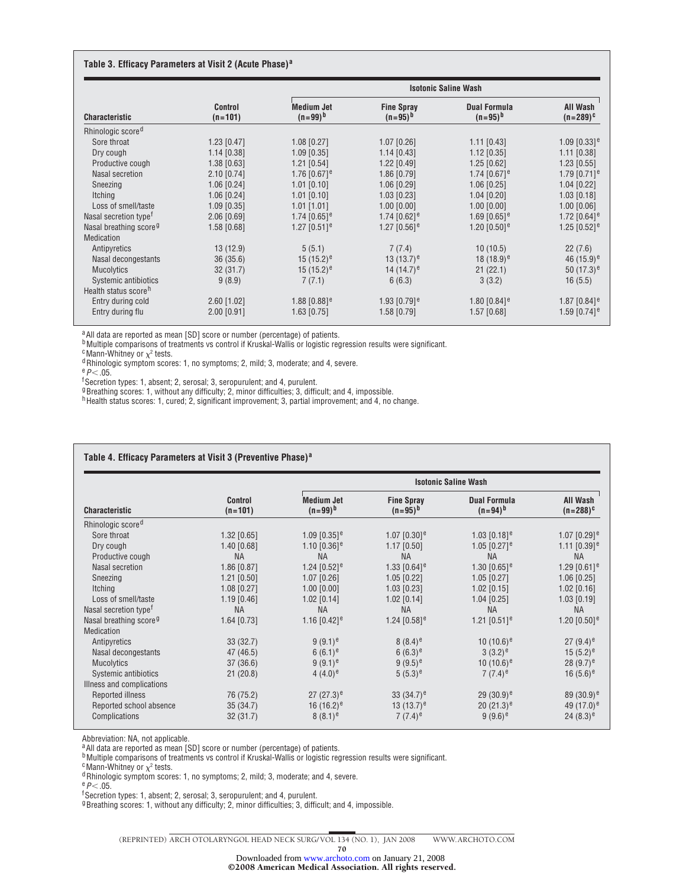#### **Table 3. Efficacy Parameters at Visit 2 (Acute Phase)<sup>a</sup>**

| <b>Characteristic</b>              |                             | <b>Isotonic Saline Wash</b>       |                                   |                                     |                            |  |
|------------------------------------|-----------------------------|-----------------------------------|-----------------------------------|-------------------------------------|----------------------------|--|
|                                    | <b>Control</b><br>$(n=101)$ | <b>Medium Jet</b><br>$(n=99)^{h}$ | <b>Fine Spray</b><br>$(n=95)^{b}$ | <b>Dual Formula</b><br>$(n=95)^{b}$ | All Wash<br>$(n=289)^{c}$  |  |
| Rhinologic score <sup>d</sup>      |                             |                                   |                                   |                                     |                            |  |
| Sore throat                        | $1.23$ [0.47]               | $1.08$ [0.27]                     | $1.07$ [0.26]                     | $1.11$ [0.43]                       | $1.09$ [0.33] <sup>e</sup> |  |
| Dry cough                          | $1.14$ [0.38]               | $1.09$ [0.35]                     | $1.14$ [0.43]                     | $1.12$ [0.35]                       | $1.11$ [0.38]              |  |
| Productive cough                   | $1.38$ [0.63]               | $1.21$ [0.54]                     | $1.22$ [0.49]                     | $1.25$ [0.62]                       | $1.23$ [0.55]              |  |
| Nasal secretion                    | $2.10$ [0.74]               | 1.76 $[0.67]$ <sup>e</sup>        | $1.86$ [0.79]                     | 1.74 $[0.67]$ <sup>e</sup>          | 1.79 $[0.71]$ <sup>e</sup> |  |
| Sneezing                           | $1.06$ [0.24]               | $1.01$ [0.10]                     | $1.06$ [0.29]                     | $1.06$ [0.25]                       | $1.04$ [0.22]              |  |
| Itching                            | $1.06$ [0.24]               | $1.01$ [0.10]                     | $1.03$ [0.23]                     | $1.04$ [0.20]                       | $1.03$ [0.18]              |  |
| Loss of smell/taste                | $1.09$ [0.35]               | $1.01$ [1.01]                     | $1.00$ [0.00]                     | $1.00$ [0.00]                       | $1.00$ [0.06]              |  |
| Nasal secretion type <sup>t</sup>  | 2.06 [0.69]                 | 1.74 $[0.65]$ <sup>e</sup>        | 1.74 $[0.62]$ <sup>e</sup>        | 1.69 $[0.65]$ <sup>e</sup>          | 1.72 $[0.64]$ <sup>e</sup> |  |
| Nasal breathing score <sup>9</sup> | $1.58$ [0.68]               | 1.27 $[0.51]$ <sup>e</sup>        | 1.27 $[0.56]$ <sup>e</sup>        | 1.20 $[0.50]$ <sup>e</sup>          | 1.25 $[0.52]$ <sup>e</sup> |  |
| <b>Medication</b>                  |                             |                                   |                                   |                                     |                            |  |
| Antipyretics                       | 13(12.9)                    | 5(5.1)                            | 7(7.4)                            | 10(10.5)                            | 22(7.6)                    |  |
| Nasal decongestants                | 36(35.6)                    | 15 $(15.2)^e$                     | 13 (13.7) <sup>e</sup>            | $18(18.9)^e$                        | 46 $(15.9)^e$              |  |
| <b>Mucolytics</b>                  | 32(31.7)                    | $15(15.2)^e$                      | 14 $(14.7)^e$                     | 21(22.1)                            | 50 $(17.3)^e$              |  |
| Systemic antibiotics               | 9(8.9)                      | 7(7.1)                            | 6(6.3)                            | 3(3.2)                              | 16(5.5)                    |  |
| Health status score <sup>h</sup>   |                             |                                   |                                   |                                     |                            |  |
| Entry during cold                  | $2.60$ [1.02]               | 1.88 $[0.88]$ <sup>e</sup>        | 1.93 $[0.79]$ <sup>e</sup>        | 1.80 $[0.84]$ <sup>e</sup>          | 1.87 $[0.84]$ <sup>e</sup> |  |
| Entry during flu                   | $2.00$ [0.91]               | $1.63$ [0.75]                     | $1.58$ [0.79]                     | $1.57$ [0.68]                       | 1.59 $[0.74]$ <sup>e</sup> |  |

a All data are reported as mean [SD] score or number (percentage) of patients.

**b**Multiple comparisons of treatments vs control if Kruskal-Wallis or logistic regression results were significant.

 $\textdegree$ Mann-Whitney or  $\chi^2$  tests.

dRhinologic symptom scores: 1, no symptoms; 2, mild; 3, moderate; and 4, severe.

 $e$ *P* $<$ .05.

f Secretion types: 1, absent; 2, serosal; 3, seropurulent; and 4, purulent. gBreathing scores: 1, without any difficulty; 2, minor difficulties; 3, difficult; and 4, impossible.

hHealth status scores: 1, cured; 2, significant improvement; 3, partial improvement; and 4, no change.

| <b>Characteristic</b>              |                             | <b>Isotonic Saline Wash</b>       |                                   |                                     |                            |  |  |
|------------------------------------|-----------------------------|-----------------------------------|-----------------------------------|-------------------------------------|----------------------------|--|--|
|                                    | <b>Control</b><br>$(n=101)$ | <b>Medium Jet</b><br>$(n=99)^{b}$ | <b>Fine Spray</b><br>$(n=95)^{b}$ | <b>Dual Formula</b><br>$(n=94)^{b}$ | All Wash<br>$(n=288)^{c}$  |  |  |
| Rhinologic score <sup>d</sup>      |                             |                                   |                                   |                                     |                            |  |  |
| Sore throat                        | $1.32$ [0.65]               | 1.09 $[0.35]$ <sup>e</sup>        | 1.07 $[0.30]$ <sup>e</sup>        | 1.03 $[0.18]$ <sup>e</sup>          | 1.07 $[0.29]$ <sup>e</sup> |  |  |
| Dry cough                          | $1.40$ [0.68]               | 1.10 $[0.36]$ <sup>e</sup>        | $1.17$ [0.50]                     | 1.05 $[0.27]$ <sup>e</sup>          | 1.11 $[0.39]$ <sup>e</sup> |  |  |
| Productive cough                   | <b>NA</b>                   | <b>NA</b>                         | <b>NA</b>                         | <b>NA</b>                           | <b>NA</b>                  |  |  |
| Nasal secretion                    | 1.86 [0.87]                 | 1.24 $[0.52]$ <sup>e</sup>        | 1.33 $[0.64]$ <sup>e</sup>        | 1.30 $[0.65]$ <sup>e</sup>          | 1.29 $[0.61]$ <sup>e</sup> |  |  |
| Sneezing                           | $1.21$ [0.50]               | $1.07$ [0.26]                     | $1.05$ [0.22]                     | $1.05$ [0.27]                       | $1.06$ [0.25]              |  |  |
| Itching                            | $1.08$ [0.27]               | $1.00$ [0.00]                     | $1.03$ [0.23]                     | $1.02$ [0.15]                       | $1.02$ [0.16]              |  |  |
| Loss of smell/taste                | $1.19$ [0.46]               | $1.02$ [0.14]                     | $1.02$ [0.14]                     | $1.04$ [0.25]                       | $1.03$ [0.19]              |  |  |
| Nasal secretion type <sup>t</sup>  | <b>NA</b>                   | <b>NA</b>                         | <b>NA</b>                         | <b>NA</b>                           | <b>NA</b>                  |  |  |
| Nasal breathing score <sup>9</sup> | $1.64$ [0.73]               | 1.16 $[0.42]$ <sup>e</sup>        | 1.24 $[0.58]$ <sup>e</sup>        | 1.21 $[0.51]$ <sup>e</sup>          | 1.20 $[0.50]$ <sup>e</sup> |  |  |
| Medication                         |                             |                                   |                                   |                                     |                            |  |  |
| Antipyretics                       | 33(32.7)                    | $9(9.1)^e$                        | $8(8.4)^e$                        | 10 $(10.6)^e$                       | $27(9.4)^e$                |  |  |
| Nasal decongestants                | 47 (46.5)                   | 6 $(6.1)^e$                       | 6 $(6.3)^e$                       | $3(3.2)^e$                          | 15 $(5.2)^e$               |  |  |
| Mucolytics                         | 37(36.6)                    | $9(9.1)^e$                        | $9(9.5)^e$                        | 10 $(10.6)^e$                       | $28(9.7)^e$                |  |  |
| Systemic antibiotics               | 21(20.8)                    | $4(4.0)^e$                        | $(5.3)^e$                         | $7(7.4)^e$                          | 16 $(5.6)^e$               |  |  |
| Illness and complications          |                             |                                   |                                   |                                     |                            |  |  |
| Reported illness                   | 76 (75.2)                   | $27(27.3)^e$                      | 33 $(34.7)^e$                     | $29(30.9)^e$                        | 89 $(30.9)^e$              |  |  |
| Reported school absence            | 35(34.7)                    | 16 $(16.2)^e$                     | 13 $(13.7)^e$                     | 20 $(21.3)^e$                       | 49 $(17.0)^e$              |  |  |
| Complications                      | 32(31.7)                    | $8(8.1)^e$                        | $7(7.4)$ <sup>e</sup>             | 9 $(9.6)^e$                         | 24 $(8.3)^e$               |  |  |

Abbreviation: NA, not applicable.

<sup>a</sup> All data are reported as mean [SD] score or number (percentage) of patients.

bMultiple comparisons of treatments vs control if Kruskal-Wallis or logistic regression results were significant.

 $\text{c}$  Mann-Whitney or  $\chi^2$  tests.

 $d$ Rhinologic symptom scores: 1, no symptoms; 2, mild; 3, moderate; and 4, severe.

<sup>e</sup>*P*.05.

f Secretion types: 1, absent; 2, serosal; 3, seropurulent; and 4, purulent.

<sup>g</sup>Breathing scores: 1, without any difficulty; 2, minor difficulties; 3, difficult; and 4, impossible.

(REPRINTED) ARCH OTOLARYNGOL HEAD NECK SURG/ VOL 134 (NO. 1), JAN 2008 WWW.ARCHOTO.COM

70

©2008 American Medical Association. All rights reserved. Downloaded from [www.archoto.com](http://www.archoto.com) on January 21, 2008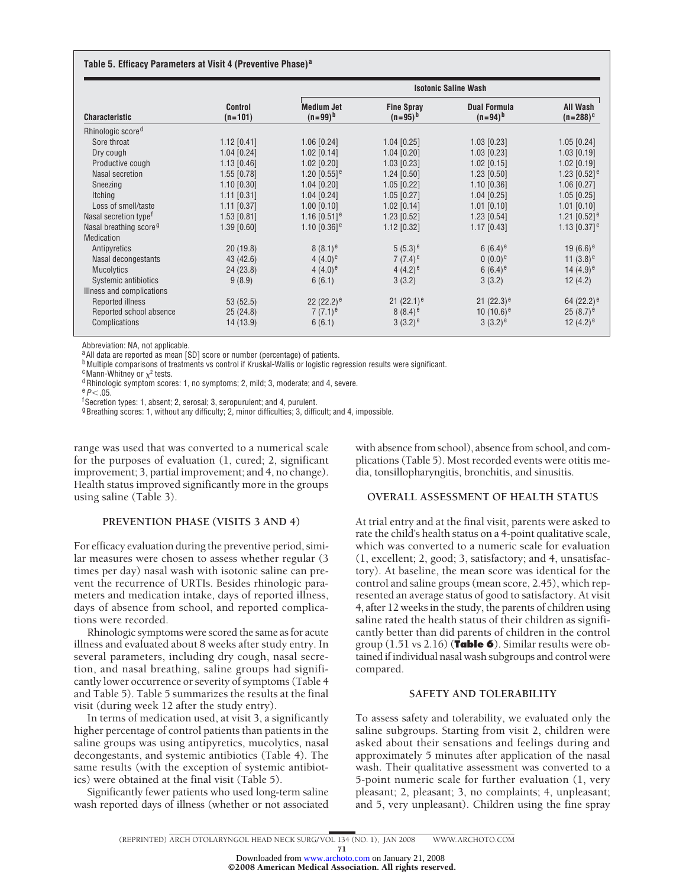#### **Table 5. Efficacy Parameters at Visit 4 (Preventive Phase)<sup>a</sup>**

|                                    |                             | <b>Isotonic Saline Wash</b>       |                                   |                                     |                            |  |
|------------------------------------|-----------------------------|-----------------------------------|-----------------------------------|-------------------------------------|----------------------------|--|
| <b>Characteristic</b>              | <b>Control</b><br>$(n=101)$ | <b>Medium Jet</b><br>$(n=99)^{b}$ | <b>Fine Spray</b><br>$(n=95)^{h}$ | <b>Dual Formula</b><br>$(n=94)^{b}$ | All Wash<br>$(n=288)^{c}$  |  |
| Rhinologic score <sup>d</sup>      |                             |                                   |                                   |                                     |                            |  |
| Sore throat                        | $1.12$ [0.41]               | $1.06$ [0.24]                     | $1.04$ [0.25]                     | $1.03$ [0.23]                       | $1.05$ [0.24]              |  |
| Dry cough                          | $1.04$ [0.24]               | $1.02$ [0.14]                     | $1.04$ [0.20]                     | $1.03$ [0.23]                       | $1.03$ [0.19]              |  |
| Productive cough                   | 1.13 [0.46]                 | $1.02$ [0.20]                     | $1.03$ [0.23]                     | $1.02$ [0.15]                       | $1.02$ [0.19]              |  |
| Nasal secretion                    | 1.55 [0.78]                 | 1.20 $[0.55]$ <sup>e</sup>        | $1.24$ [0.50]                     | $1.23$ [0.50]                       | 1.23 $[0.52]$ <sup>e</sup> |  |
| Sneezing                           | $1.10$ [0.30]               | $1.04$ [0.20]                     | $1.05$ [0.22]                     | $1.10$ [0.36]                       | 1.06 [0.27]                |  |
| Itching                            | $1.11$ [0.31]               | $1.04$ [0.24]                     | $1.05$ [0.27]                     | $1.04$ [0.25]                       | $1.05$ [0.25]              |  |
| Loss of smell/taste                | $1.11$ [0.37]               | $1.00$ [0.10]                     | $1.02$ [0.14]                     | $1.01$ [0.10]                       | $1.01$ [0.10]              |  |
| Nasal secretion type <sup>t</sup>  | $1.53$ [0.81]               | 1.16 $[0.51]$ <sup>e</sup>        | $1.23$ [0.52]                     | $1.23$ [0.54]                       | 1.21 $[0.52]$ <sup>e</sup> |  |
| Nasal breathing score <sup>9</sup> | 1.39 [0.60]                 | 1.10 $[0.36]$ <sup>e</sup>        | $1.12$ [0.32]                     | $1.17$ [0.43]                       | 1.13 $[0.37]$ <sup>e</sup> |  |
| Medication                         |                             |                                   |                                   |                                     |                            |  |
| Antipyretics                       | 20(19.8)                    | $8(8.1)^e$                        | $(5.3)^e$                         | 6 $(6.4)$ <sup>e</sup>              | 19 $(6.6)^e$               |  |
| Nasal decongestants                | 43 (42.6)                   | $4(4.0)^e$                        | $7(7.4)$ <sup>e</sup>             | $0(0.0)^e$                          | 11 $(3.8)^e$               |  |
| Mucolytics                         | 24(23.8)                    | $4(4.0)^e$                        | $4(4.2)^e$                        | 6 $(6.4)$ <sup>e</sup>              | 14 $(4.9)^e$               |  |
| Systemic antibiotics               | 9(8.9)                      | 6(6.1)                            | 3(3.2)                            | 3(3.2)                              | 12(4.2)                    |  |
| Illness and complications          |                             |                                   |                                   |                                     |                            |  |
| Reported illness                   | 53(52.5)                    | 22 $(22.2)^e$                     | 21 $(22.1)^e$                     | 21 $(22.3)^e$                       | 64 $(22.2)^e$              |  |
| Reported school absence            | 25(24.8)                    | $7(7.1)^e$                        | $8(8.4)$ <sup>e</sup>             | 10 $(10.6)^e$                       | $25(8.7)^e$                |  |
| Complications                      | 14 (13.9)                   | 6(6.1)                            | $3(3.2)^e$                        | $3(3.2)^e$                          | 12 $(4.2)^e$               |  |

Abbreviation: NA, not applicable.

<sup>a</sup> All data are reported as mean [SD] score or number (percentage) of patients.

**b**Multiple comparisons of treatments vs control if Kruskal-Wallis or logistic regression results were significant.

 $c$ Mann-Whitney or  $\chi^2$  tests.

 $d$ Rhinologic symptom scores: 1, no symptoms; 2, mild; 3, moderate; and 4, severe.

 $e_{P}$ .05

f Secretion types: 1, absent; 2, serosal; 3, seropurulent; and 4, purulent.

<sup>g</sup>Breathing scores: 1, without any difficulty; 2, minor difficulties; 3, difficult; and 4, impossible.

range was used that was converted to a numerical scale for the purposes of evaluation (1, cured; 2, significant improvement; 3, partial improvement; and 4, no change). Health status improved significantly more in the groups using saline (Table 3).

#### **PREVENTION PHASE (VISITS 3 AND 4)**

For efficacy evaluation during the preventive period, similar measures were chosen to assess whether regular (3 times per day) nasal wash with isotonic saline can prevent the recurrence of URTIs. Besides rhinologic parameters and medication intake, days of reported illness, days of absence from school, and reported complications were recorded.

Rhinologic symptoms were scored the same as for acute illness and evaluated about 8 weeks after study entry. In several parameters, including dry cough, nasal secretion, and nasal breathing, saline groups had significantly lower occurrence or severity of symptoms (Table 4 and Table 5). Table 5 summarizes the results at the final visit (during week 12 after the study entry).

In terms of medication used, at visit 3, a significantly higher percentage of control patients than patients in the saline groups was using antipyretics, mucolytics, nasal decongestants, and systemic antibiotics (Table 4). The same results (with the exception of systemic antibiotics) were obtained at the final visit (Table 5).

Significantly fewer patients who used long-term saline wash reported days of illness (whether or not associated with absence from school), absence from school, and complications (Table 5). Most recorded events were otitis media, tonsillopharyngitis, bronchitis, and sinusitis.

#### **OVERALL ASSESSMENT OF HEALTH STATUS**

At trial entry and at the final visit, parents were asked to rate the child's health status on a 4-point qualitative scale, which was converted to a numeric scale for evaluation (1, excellent; 2, good; 3, satisfactory; and 4, unsatisfactory). At baseline, the mean score was identical for the control and saline groups (mean score, 2.45), which represented an average status of good to satisfactory. At visit 4, after 12 weeks in the study, the parents of children using saline rated the health status of their children as significantly better than did parents of children in the control group (1.51 vs 2.16) (**Table 6**). Similar results were obtained if individual nasal wash subgroups and control were compared.

## **SAFETY AND TOLERABILITY**

To assess safety and tolerability, we evaluated only the saline subgroups. Starting from visit 2, children were asked about their sensations and feelings during and approximately 5 minutes after application of the nasal wash. Their qualitative assessment was converted to a 5-point numeric scale for further evaluation (1, very pleasant; 2, pleasant; 3, no complaints; 4, unpleasant; and 5, very unpleasant). Children using the fine spray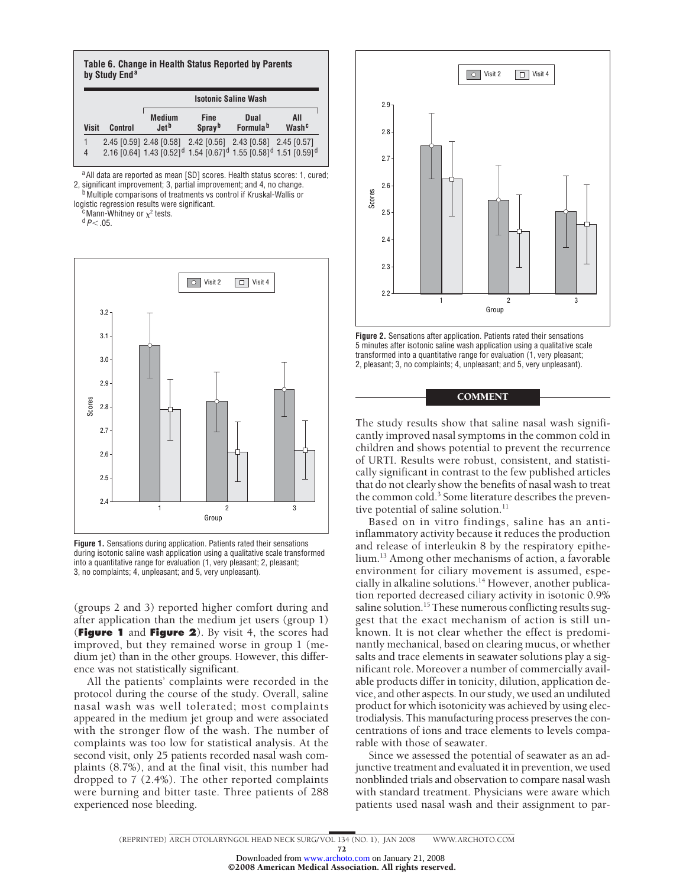| Table 6. Change in Health Status Reported by Parents<br>by Study End <sup>a</sup> |         |                                    |                                                                                                                                                                                |                              |                          |  |
|-----------------------------------------------------------------------------------|---------|------------------------------------|--------------------------------------------------------------------------------------------------------------------------------------------------------------------------------|------------------------------|--------------------------|--|
|                                                                                   |         | <b>Isotonic Saline Wash</b>        |                                                                                                                                                                                |                              |                          |  |
| <b>Visit</b>                                                                      | Control | <b>Medium</b><br>.let <sup>b</sup> | <b>Fine</b><br>Spray <sup>b</sup>                                                                                                                                              | Dual<br>Formula <sup>b</sup> | All<br>Wash <sup>c</sup> |  |
| 1<br>$\overline{4}$                                                               |         |                                    | 2.45 [0.59] 2.48 [0.58] 2.42 [0.56] 2.43 [0.58] 2.45 [0.57]<br>2.16 [0.64] 1.43 [0.52] <sup>d</sup> 1.54 [0.67] <sup>d</sup> 1.55 [0.58] <sup>d</sup> 1.51 [0.59] <sup>d</sup> |                              |                          |  |

a All data are reported as mean [SD] scores. Health status scores: 1, cured; 2, significant improvement; 3, partial improvement; and 4, no change.<br><sup>b</sup>Multiple comparisons of treatments vs control if Kruskal-Wallis or

logistic regression results were significant.<br><sup>c</sup>Mann-Whitney or  $\chi^2$  tests.

<sup>d</sup>*P*.05.



**Figure 1.** Sensations during application. Patients rated their sensations during isotonic saline wash application using a qualitative scale transformed into a quantitative range for evaluation (1, very pleasant; 2, pleasant; 3, no complaints; 4, unpleasant; and 5, very unpleasant).

(groups 2 and 3) reported higher comfort during and after application than the medium jet users (group 1) (**Figure 1** and **Figure 2**). By visit 4, the scores had improved, but they remained worse in group 1 (medium jet) than in the other groups. However, this difference was not statistically significant.

All the patients' complaints were recorded in the protocol during the course of the study. Overall, saline nasal wash was well tolerated; most complaints appeared in the medium jet group and were associated with the stronger flow of the wash. The number of complaints was too low for statistical analysis. At the second visit, only 25 patients recorded nasal wash complaints (8.7%), and at the final visit, this number had dropped to 7 (2.4%). The other reported complaints were burning and bitter taste. Three patients of 288 experienced nose bleeding.



**Figure 2.** Sensations after application. Patients rated their sensations 5 minutes after isotonic saline wash application using a qualitative scale transformed into a quantitative range for evaluation (1, very pleasant; 2, pleasant; 3, no complaints; 4, unpleasant; and 5, very unpleasant).

## **COMMENT**

The study results show that saline nasal wash significantly improved nasal symptoms in the common cold in children and shows potential to prevent the recurrence of URTI. Results were robust, consistent, and statistically significant in contrast to the few published articles that do not clearly show the benefits of nasal wash to treat the common cold.<sup>3</sup> Some literature describes the preventive potential of saline solution.<sup>11</sup>

Based on in vitro findings, saline has an antiinflammatory activity because it reduces the production and release of interleukin 8 by the respiratory epithelium.13 Among other mechanisms of action, a favorable environment for ciliary movement is assumed, especially in alkaline solutions.<sup>14</sup> However, another publication reported decreased ciliary activity in isotonic 0.9% saline solution.<sup>15</sup> These numerous conflicting results suggest that the exact mechanism of action is still unknown. It is not clear whether the effect is predominantly mechanical, based on clearing mucus, or whether salts and trace elements in seawater solutions play a significant role. Moreover a number of commercially available products differ in tonicity, dilution, application device, and other aspects. In our study, we used an undiluted product for which isotonicity was achieved by using electrodialysis. This manufacturing process preserves the concentrations of ions and trace elements to levels comparable with those of seawater.

Since we assessed the potential of seawater as an adjunctive treatment and evaluated it in prevention, we used nonblinded trials and observation to compare nasal wash with standard treatment. Physicians were aware which patients used nasal wash and their assignment to par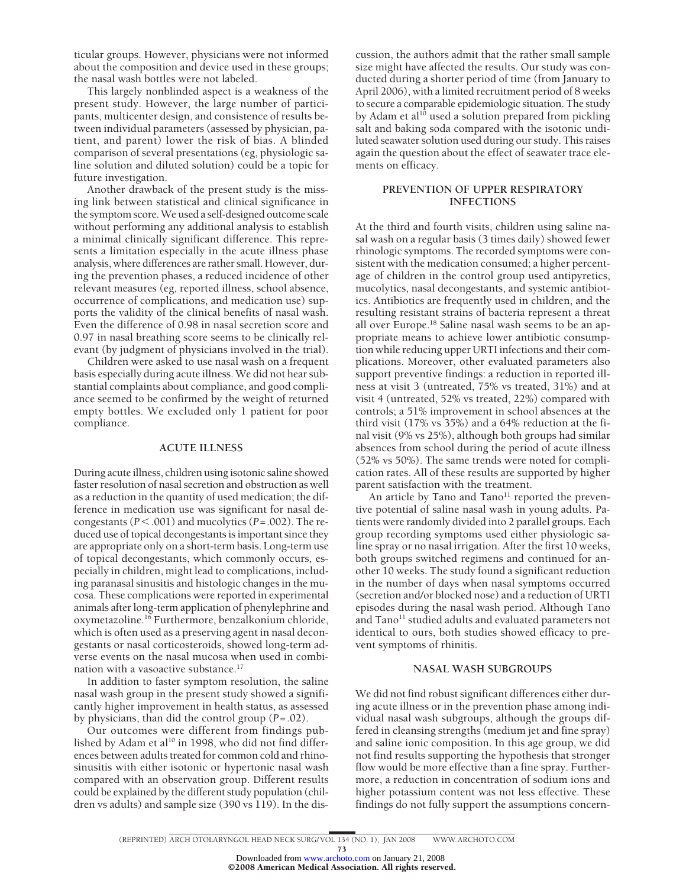ticular groups. However, physicians were not informed about the composition and device used in these groups; the nasal wash bottles were not labeled.

This largely nonblinded aspect is a weakness of the present study. However, the large number of participants, multicenter design, and consistence of results between individual parameters (assessed by physician, patient, and parent) lower the risk of bias. A blinded comparison of several presentations (eg, physiologic saline solution and diluted solution) could be a topic for future investigation.

Another drawback of the present study is the missing link between statistical and clinical significance in the symptom score.We used a self-designed outcome scale without performing any additional analysis to establish a minimal clinically significant difference. This represents a limitation especially in the acute illness phase analysis, where differences are rather small. However, during the prevention phases, a reduced incidence of other relevant measures (eg, reported illness, school absence, occurrence of complications, and medication use) supports the validity of the clinical benefits of nasal wash. Even the difference of 0.98 in nasal secretion score and 0.97 in nasal breathing score seems to be clinically relevant (by judgment of physicians involved in the trial).

Children were asked to use nasal wash on a frequent basis especially during acute illness. We did not hear substantial complaints about compliance, and good compliance seemed to be confirmed by the weight of returned empty bottles. We excluded only 1 patient for poor compliance.

#### **ACUTE ILLNESS**

During acute illness, children using isotonic saline showed faster resolution of nasal secretion and obstruction as well as a reduction in the quantity of used medication; the difference in medication use was significant for nasal decongestants ( $P$ <.001) and mucolytics ( $P$ =.002). The reduced use of topical decongestants is important since they are appropriate only on a short-term basis. Long-term use of topical decongestants, which commonly occurs, especially in children, might lead to complications, including paranasal sinusitis and histologic changes in the mucosa. These complications were reported in experimental animals after long-term application of phenylephrine and oxymetazoline.16 Furthermore, benzalkonium chloride, which is often used as a preserving agent in nasal decongestants or nasal corticosteroids, showed long-term adverse events on the nasal mucosa when used in combination with a vasoactive substance.<sup>17</sup>

In addition to faster symptom resolution, the saline nasal wash group in the present study showed a significantly higher improvement in health status, as assessed by physicians, than did the control group (*P*=.02).

Our outcomes were different from findings published by Adam et al<sup>10</sup> in 1998, who did not find differences between adults treated for common cold and rhinosinusitis with either isotonic or hypertonic nasal wash compared with an observation group. Different results could be explained by the different study population (children vs adults) and sample size (390 vs 119). In the discussion, the authors admit that the rather small sample size might have affected the results. Our study was conducted during a shorter period of time (from January to April 2006), with a limited recruitment period of 8 weeks to secure a comparable epidemiologic situation. The study by Adam et al<sup>10</sup> used a solution prepared from pickling salt and baking soda compared with the isotonic undiluted seawater solution used during our study. This raises again the question about the effect of seawater trace elements on efficacy.

# **PREVENTION OF UPPER RESPIRATORY INFECTIONS**

At the third and fourth visits, children using saline nasal wash on a regular basis (3 times daily) showed fewer rhinologic symptoms. The recorded symptoms were consistent with the medication consumed; a higher percentage of children in the control group used antipyretics, mucolytics, nasal decongestants, and systemic antibiotics. Antibiotics are frequently used in children, and the resulting resistant strains of bacteria represent a threat all over Europe.18 Saline nasal wash seems to be an appropriate means to achieve lower antibiotic consumption while reducing upper URTI infections and their complications. Moreover, other evaluated parameters also support preventive findings: a reduction in reported illness at visit 3 (untreated, 75% vs treated, 31%) and at visit 4 (untreated, 52% vs treated, 22%) compared with controls; a 51% improvement in school absences at the third visit (17% vs 35%) and a 64% reduction at the final visit (9% vs 25%), although both groups had similar absences from school during the period of acute illness (52% vs 50%). The same trends were noted for complication rates. All of these results are supported by higher parent satisfaction with the treatment.

An article by Tano and Tano<sup>11</sup> reported the preventive potential of saline nasal wash in young adults. Patients were randomly divided into 2 parallel groups. Each group recording symptoms used either physiologic saline spray or no nasal irrigation. After the first 10 weeks, both groups switched regimens and continued for another 10 weeks. The study found a significant reduction in the number of days when nasal symptoms occurred (secretion and/or blocked nose) and a reduction of URTI episodes during the nasal wash period. Although Tano and  $Tano<sup>11</sup>$  studied adults and evaluated parameters not identical to ours, both studies showed efficacy to prevent symptoms of rhinitis.

## **NASAL WASH SUBGROUPS**

We did not find robust significant differences either during acute illness or in the prevention phase among individual nasal wash subgroups, although the groups differed in cleansing strengths (medium jet and fine spray) and saline ionic composition. In this age group, we did not find results supporting the hypothesis that stronger flow would be more effective than a fine spray. Furthermore, a reduction in concentration of sodium ions and higher potassium content was not less effective. These findings do not fully support the assumptions concern